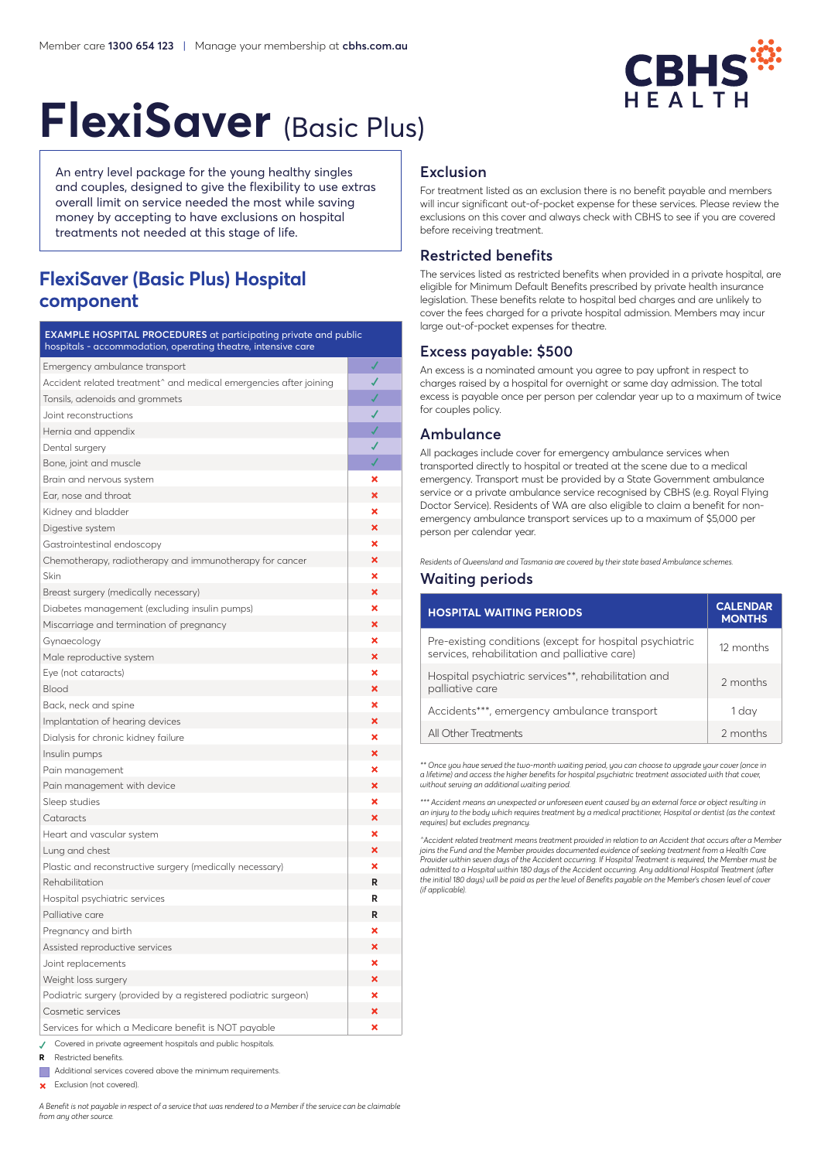

# **FlexiSaver** (Basic Plus)

An entry level package for the young healthy singles and couples, designed to give the flexibility to use extras overall limit on service needed the most while saving money by accepting to have exclusions on hospital treatments not needed at this stage of life.

## **FlexiSaver (Basic Plus) Hospital component**

**EXAMPLE HOSPITAL PROCEDURES** at participating private and public hospitals - accommodation, operating theatre, intensive care

| Emergency ambulance transport                                     | √ |
|-------------------------------------------------------------------|---|
| Accident related treatment^ and medical emergencies after joining | J |
| Tonsils, adenoids and grommets                                    |   |
| Joint reconstructions                                             | ✔ |
| Hernia and appendix                                               |   |
| Dental surgery                                                    | ✔ |
| Bone, joint and muscle                                            |   |
| Brain and nervous system                                          | × |
| Ear, nose and throat                                              | × |
| Kidney and bladder                                                | × |
| Digestive system                                                  | × |
| Gastrointestinal endoscopy                                        | × |
| Chemotherapy, radiotherapy and immunotherapy for cancer           | × |
| Skin                                                              | × |
| Breast surgery (medically necessary)                              | × |
| Diabetes management (excluding insulin pumps)                     | × |
| Miscarriage and termination of pregnancy                          | × |
| Gynaecology                                                       | × |
| Male reproductive system                                          | × |
| Eye (not cataracts)                                               | × |
| <b>Blood</b>                                                      | × |
| Back, neck and spine                                              | × |
| Implantation of hearing devices                                   | × |
| Dialysis for chronic kidney failure                               | × |
| Insulin pumps                                                     | × |
| Pain management                                                   | × |
| Pain management with device                                       | × |
| Sleep studies                                                     | × |
| Cataracts                                                         | × |
| Heart and vascular system                                         | × |
| Lung and chest                                                    | × |
| Plastic and reconstructive surgery (medically necessary)          | × |
| Rehabilitation                                                    | R |
| Hospital psychiatric services                                     | R |
| Palliative care                                                   | R |
| Pregnancy and birth                                               | × |
| Assisted reproductive services                                    | × |
| Joint replacements                                                | × |
| Weight loss surgery                                               | × |
| Podiatric surgery (provided by a registered podiatric surgeon)    | × |
| Cosmetic services                                                 | × |
| Services for which a Medicare benefit is NOT payable              | × |
| Covered in private agreement hospitals and public hospitals.      |   |

- **<sup>R</sup>**  Restricted benefits.
- Additional services covered above the minimum requirements.
- Exclusion (not covered).

*A Benefit is not payable in respect of a service that was rendered to a Member if the service can be claimable from any other source.*

## **Exclusion**

For treatment listed as an exclusion there is no benefit payable and members will incur significant out-of-pocket expense for these services. Please review the exclusions on this cover and always check with CBHS to see if you are covered before receiving treatment.

## **Restricted benefits**

The services listed as restricted benefits when provided in a private hospital, are eligible for Minimum Default Benefits prescribed by private health insurance legislation. These benefits relate to hospital bed charges and are unlikely to cover the fees charged for a private hospital admission. Members may incur large out-of-pocket expenses for theatre.

## **Excess payable: \$500**

An excess is a nominated amount you agree to pay upfront in respect to charges raised by a hospital for overnight or same day admission. The total excess is payable once per person per calendar year up to a maximum of twice for couples policy.

## **Ambulance**

All packages include cover for emergency ambulance services when transported directly to hospital or treated at the scene due to a medical emergency. Transport must be provided by a State Government ambulance service or a private ambulance service recognised by CBHS (e.g. Royal Flying Doctor Service). Residents of WA are also eligible to claim a benefit for nonemergency ambulance transport services up to a maximum of \$5,000 per person per calendar year.

*Residents of Queensland and Tasmania are covered by their state based Ambulance schemes.*

## **Waiting periods**

| <b>HOSPITAL WAITING PERIODS</b>                                                                           | <b>CALENDAR</b><br><b>MONTHS</b> |
|-----------------------------------------------------------------------------------------------------------|----------------------------------|
| Pre-existing conditions (except for hospital psychiatric<br>services, rehabilitation and palliative care) | 12 months                        |
| Hospital psychiatric services**, rehabilitation and<br>palliative care                                    | 2 months                         |
| Accidents***, emergency ambulance transport                                                               | 1 day                            |
| All Other Treatments                                                                                      | 2 months                         |

*\*\* Once you have served the two-month waiting period, you can choose to upgrade your cover (once in a lifetime) and access the higher benefits for hospital psychiatric treatment associated with that cover, without serving an additional waiting period.* 

*\*\*\* Accident means an unexpected or unforeseen event caused by an external force or object resulting in an injury to the body which requires treatment by a medical practitioner, Hospital or dentist (as the context requires) but excludes pregnancy.*

*^Accident related treatment means treatment provided in relation to an Accident that occurs after a Member joins the Fund and the Member provides documented evidence of seeking treatment from a Health Care Provider within seven days of the Accident occurring. If Hospital Treatment is required, the Member must be admitted to a Hospital within 180 days of the Accident occurring. Any additional Hospital Treatment (after the initial 180 days) will be paid as per the level of Benefits payable on the Member's chosen level of cover (if applicable).*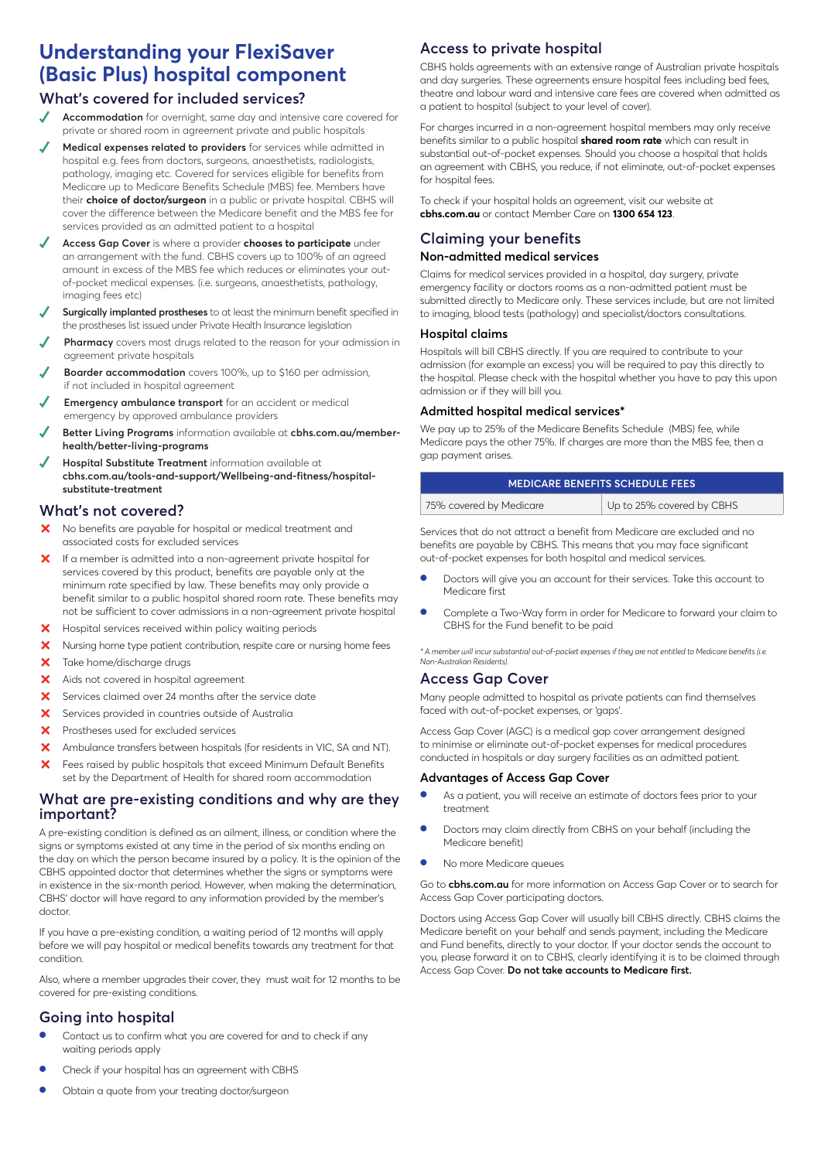# **Understanding your FlexiSaver (Basic Plus) hospital component**

## **What's covered for included services?**

- **Accommodation** for overnight, same day and intensive care covered for private or shared room in agreement private and public hospitals
- Medical expenses related to providers for services while admitted in hospital e.g. fees from doctors, surgeons, anaesthetists, radiologists, pathology, imaging etc. Covered for services eligible for benefits from Medicare up to Medicare Benefits Schedule (MBS) fee. Members have their **choice of doctor/surgeon** in a public or private hospital. CBHS will cover the difference between the Medicare benefit and the MBS fee for services provided as an admitted patient to a hospital
- **✓ Access Gap Cover** is where a provider **chooses to participate** under an arrangement with the fund. CBHS covers up to 100% of an agreed amount in excess of the MBS fee which reduces or eliminates your outof-pocket medical expenses. (i.e. surgeons, anaesthetists, pathology, imaging fees etc)
- **Surgically implanted prostheses** to at least the minimum benefit specified in the prostheses list issued under Private Health Insurance legislation
- **Pharmacy** covers most drugs related to the reason for your admission in agreement private hospitals
- **Boarder accommodation** covers 100%, up to \$160 per admission, if not included in hospital agreement
- **Emergency ambulance transport** for an accident or medical emergency by approved ambulance providers
- Better Living Programs information available at cbhs.com.au/member**health/better-living-programs**
- **Hospital Substitute Treatment** information available at **cbhs.com.au/tools-and-support/Wellbeing-and-fitness/hospitalsubstitute-treatment**

## **What's not covered?**

- X No benefits are payable for hospital or medical treatment and associated costs for excluded services
- X If a member is admitted into a non-agreement private hospital for services covered by this product, benefits are payable only at the minimum rate specified by law. These benefits may only provide a benefit similar to a public hospital shared room rate. These benefits may not be sufficient to cover admissions in a non-agreement private hospital
- **X** Hospital services received within policy waiting periods
- X Nursing home type patient contribution, respite care or nursing home fees
- X Take home/discharge drugs
- X Aids not covered in hospital agreement
- $\times$  Services claimed over 24 months after the service date
- ³ Services provided in countries outside of Australia
- X Prostheses used for excluded services
- ³ Ambulance transfers between hospitals (for residents in VIC, SA and NT).
- **X** Fees raised by public hospitals that exceed Minimum Default Benefits set by the Department of Health for shared room accommodation

## **What are pre-existing conditions and why are they important?**

A pre-existing condition is defined as an ailment, illness, or condition where the signs or symptoms existed at any time in the period of six months ending on the day on which the person became insured by a policy. It is the opinion of the CBHS appointed doctor that determines whether the signs or symptoms were in existence in the six-month period. However, when making the determination, CBHS' doctor will have regard to any information provided by the member's doctor.

If you have a pre-existing condition, a waiting period of 12 months will apply before we will pay hospital or medical benefits towards any treatment for that condition.

Also, where a member upgrades their cover, they must wait for 12 months to be covered for pre-existing conditions.

## **Going into hospital**

- Contact us to confirm what you are covered for and to check if any waiting periods apply
- Check if your hospital has an agreement with CBHS

#### Obtain a quote from your treating doctor/surgeon

## **Access to private hospital**

CBHS holds agreements with an extensive range of Australian private hospitals and day surgeries. These agreements ensure hospital fees including bed fees, theatre and labour ward and intensive care fees are covered when admitted as a patient to hospital (subject to your level of cover).

For charges incurred in a non-agreement hospital members may only receive benefits similar to a public hospital **shared room rate** which can result in substantial out-of-pocket expenses. Should you choose a hospital that holds an agreement with CBHS, you reduce, if not eliminate, out-of-pocket expenses for hospital fees.

To check if your hospital holds an agreement, visit our website at **cbhs.com.au** or contact Member Care on **1300 654 123**.

## **Claiming your benefits**

### **Non-admitted medical services**

Claims for medical services provided in a hospital, day surgery, private emergency facility or doctors rooms as a non-admitted patient must be submitted directly to Medicare only. These services include, but are not limited to imaging, blood tests (pathology) and specialist/doctors consultations.

#### **Hospital claims**

Hospitals will bill CBHS directly. If you are required to contribute to your admission (for example an excess) you will be required to pay this directly to the hospital. Please check with the hospital whether you have to pay this upon admission or if they will bill you.

### **Admitted hospital medical services\***

We pay up to 25% of the Medicare Benefits Schedule (MBS) fee, while Medicare pays the other 75%. If charges are more than the MBS fee, then a gap payment arises.

| <b>MEDICARE BENEFITS SCHEDULE FEES</b> |                           |  |  |  |
|----------------------------------------|---------------------------|--|--|--|
| 75% covered by Medicare                | Up to 25% covered by CBHS |  |  |  |

Services that do not attract a benefit from Medicare are excluded and no benefits are payable by CBHS. This means that you may face significant out-of-pocket expenses for both hospital and medical services.

- Doctors will give you an account for their services. Take this account to Medicare first
- Complete a Two-Way form in order for Medicare to forward your claim to CBHS for the Fund benefit to be paid

*\* A member will incur substantial out-of-pocket expenses if they are not entitled to Medicare benefits (i.e. Non-Australian Residents).*

### **Access Gap Cover**

Many people admitted to hospital as private patients can find themselves faced with out-of-pocket expenses, or 'gaps'.

Access Gap Cover (AGC) is a medical gap cover arrangement designed to minimise or eliminate out-of-pocket expenses for medical procedures conducted in hospitals or day surgery facilities as an admitted patient.

#### **Advantages of Access Gap Cover**

- As a patient, you will receive an estimate of doctors fees prior to your treatment
- Doctors may claim directly from CBHS on your behalf (including the Medicare benefit)
- No more Medicare queues

Go to **cbhs.com.au** for more information on Access Gap Cover or to search for Access Gap Cover participating doctors.

Doctors using Access Gap Cover will usually bill CBHS directly. CBHS claims the Medicare benefit on your behalf and sends payment, including the Medicare and Fund benefits, directly to your doctor. If your doctor sends the account to you, please forward it on to CBHS, clearly identifying it is to be claimed through Access Gap Cover. **Do not take accounts to Medicare first.**